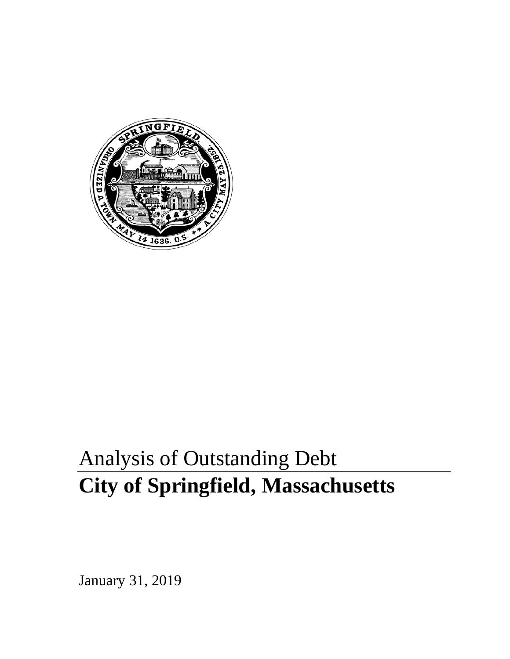

# Analysis of Outstanding Debt **City of Springfield, Massachusetts**

January 31, 2019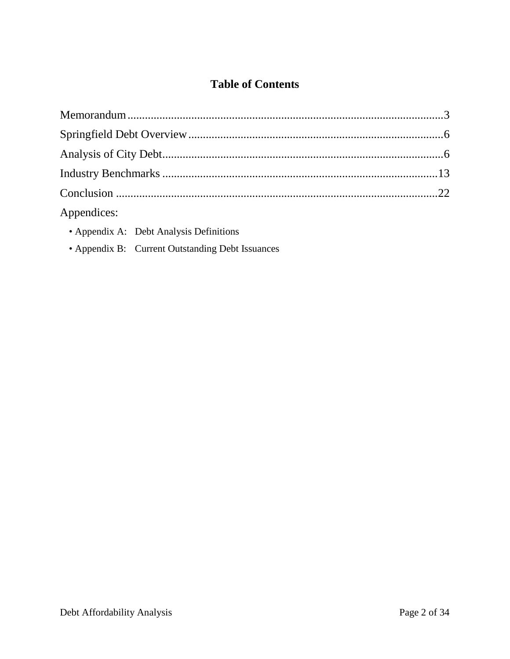## **Table of Contents**

| Appendices: |  |
|-------------|--|

- Appendix A: Debt Analysis Definitions
- Appendix B: Current Outstanding Debt Issuances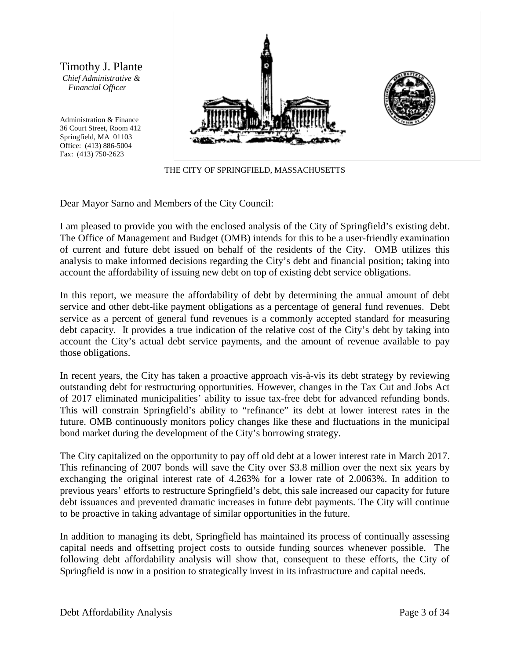Timothy J. Plante *Chief Administrative & Financial Officer*

Administration & Finance 36 Court Street, Room 412 Springfield, MA 01103 Office: (413) 886-5004 Fax: (413) 750-2623



THE CITY OF SPRINGFIELD, MASSACHUSETTS

Dear Mayor Sarno and Members of the City Council:

I am pleased to provide you with the enclosed analysis of the City of Springfield's existing debt. The Office of Management and Budget (OMB) intends for this to be a user-friendly examination of current and future debt issued on behalf of the residents of the City. OMB utilizes this analysis to make informed decisions regarding the City's debt and financial position; taking into account the affordability of issuing new debt on top of existing debt service obligations.

In this report, we measure the affordability of debt by determining the annual amount of debt service and other debt-like payment obligations as a percentage of general fund revenues. Debt service as a percent of general fund revenues is a commonly accepted standard for measuring debt capacity. It provides a true indication of the relative cost of the City's debt by taking into account the City's actual debt service payments, and the amount of revenue available to pay those obligations.

In recent years, the City has taken a proactive approach vis-à-vis its debt strategy by reviewing outstanding debt for restructuring opportunities. However, changes in the Tax Cut and Jobs Act of 2017 eliminated municipalities' ability to issue tax-free debt for advanced refunding bonds. This will constrain Springfield's ability to "refinance" its debt at lower interest rates in the future. OMB continuously monitors policy changes like these and fluctuations in the municipal bond market during the development of the City's borrowing strategy.

The City capitalized on the opportunity to pay off old debt at a lower interest rate in March 2017. This refinancing of 2007 bonds will save the City over \$3.8 million over the next six years by exchanging the original interest rate of 4.263% for a lower rate of 2.0063%. In addition to previous years' efforts to restructure Springfield's debt, this sale increased our capacity for future debt issuances and prevented dramatic increases in future debt payments. The City will continue to be proactive in taking advantage of similar opportunities in the future.

In addition to managing its debt, Springfield has maintained its process of continually assessing capital needs and offsetting project costs to outside funding sources whenever possible. The following debt affordability analysis will show that, consequent to these efforts, the City of Springfield is now in a position to strategically invest in its infrastructure and capital needs.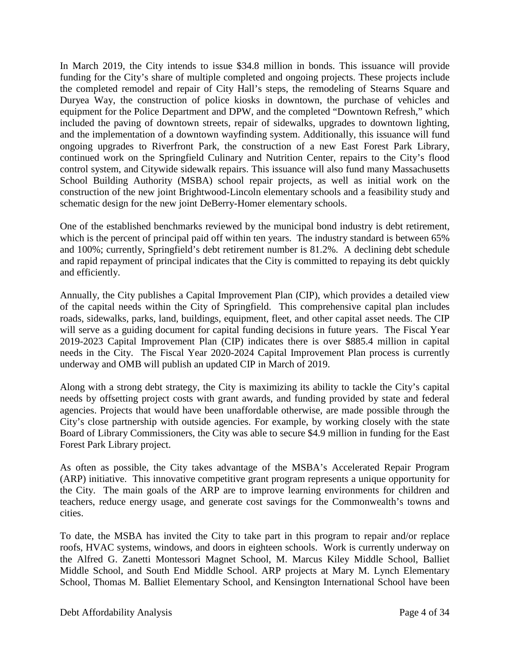In March 2019, the City intends to issue \$34.8 million in bonds. This issuance will provide funding for the City's share of multiple completed and ongoing projects. These projects include the completed remodel and repair of City Hall's steps, the remodeling of Stearns Square and Duryea Way, the construction of police kiosks in downtown, the purchase of vehicles and equipment for the Police Department and DPW, and the completed "Downtown Refresh," which included the paving of downtown streets, repair of sidewalks, upgrades to downtown lighting, and the implementation of a downtown wayfinding system. Additionally, this issuance will fund ongoing upgrades to Riverfront Park, the construction of a new East Forest Park Library, continued work on the Springfield Culinary and Nutrition Center, repairs to the City's flood control system, and Citywide sidewalk repairs. This issuance will also fund many Massachusetts School Building Authority (MSBA) school repair projects, as well as initial work on the construction of the new joint Brightwood-Lincoln elementary schools and a feasibility study and schematic design for the new joint DeBerry-Homer elementary schools.

One of the established benchmarks reviewed by the municipal bond industry is debt retirement, which is the percent of principal paid off within ten years. The industry standard is between 65% and 100%; currently, Springfield's debt retirement number is 81.2%. A declining debt schedule and rapid repayment of principal indicates that the City is committed to repaying its debt quickly and efficiently.

Annually, the City publishes a Capital Improvement Plan (CIP), which provides a detailed view of the capital needs within the City of Springfield. This comprehensive capital plan includes roads, sidewalks, parks, land, buildings, equipment, fleet, and other capital asset needs. The CIP will serve as a guiding document for capital funding decisions in future years. The Fiscal Year 2019-2023 Capital Improvement Plan (CIP) indicates there is over \$885.4 million in capital needs in the City. The Fiscal Year 2020-2024 Capital Improvement Plan process is currently underway and OMB will publish an updated CIP in March of 2019.

Along with a strong debt strategy, the City is maximizing its ability to tackle the City's capital needs by offsetting project costs with grant awards, and funding provided by state and federal agencies. Projects that would have been unaffordable otherwise, are made possible through the City's close partnership with outside agencies. For example, by working closely with the state Board of Library Commissioners, the City was able to secure \$4.9 million in funding for the East Forest Park Library project.

As often as possible, the City takes advantage of the MSBA's Accelerated Repair Program (ARP) initiative. This innovative competitive grant program represents a unique opportunity for the City. The main goals of the ARP are to improve learning environments for children and teachers, reduce energy usage, and generate cost savings for the Commonwealth's towns and cities.

To date, the MSBA has invited the City to take part in this program to repair and/or replace roofs, HVAC systems, windows, and doors in eighteen schools. Work is currently underway on the Alfred G. Zanetti Montessori Magnet School, M. Marcus Kiley Middle School, Balliet Middle School, and South End Middle School. ARP projects at Mary M. Lynch Elementary School, Thomas M. Balliet Elementary School, and Kensington International School have been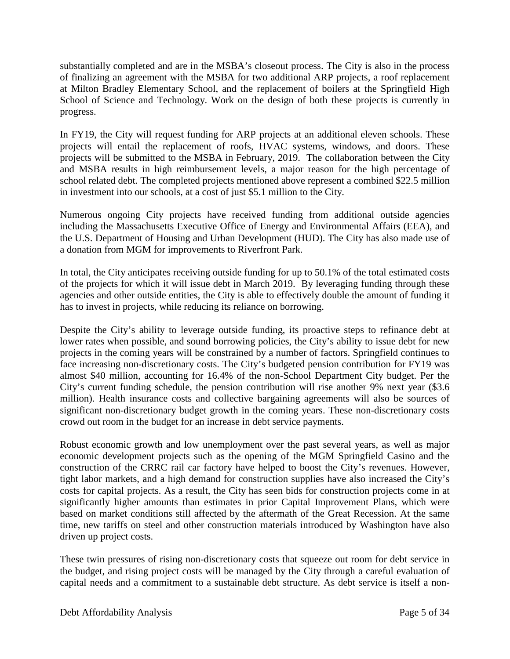substantially completed and are in the MSBA's closeout process. The City is also in the process of finalizing an agreement with the MSBA for two additional ARP projects, a roof replacement at Milton Bradley Elementary School, and the replacement of boilers at the Springfield High School of Science and Technology. Work on the design of both these projects is currently in progress.

In FY19, the City will request funding for ARP projects at an additional eleven schools. These projects will entail the replacement of roofs, HVAC systems, windows, and doors. These projects will be submitted to the MSBA in February, 2019. The collaboration between the City and MSBA results in high reimbursement levels, a major reason for the high percentage of school related debt. The completed projects mentioned above represent a combined \$22.5 million in investment into our schools, at a cost of just \$5.1 million to the City.

Numerous ongoing City projects have received funding from additional outside agencies including the Massachusetts Executive Office of Energy and Environmental Affairs (EEA), and the U.S. Department of Housing and Urban Development (HUD). The City has also made use of a donation from MGM for improvements to Riverfront Park.

In total, the City anticipates receiving outside funding for up to 50.1% of the total estimated costs of the projects for which it will issue debt in March 2019. By leveraging funding through these agencies and other outside entities, the City is able to effectively double the amount of funding it has to invest in projects, while reducing its reliance on borrowing.

Despite the City's ability to leverage outside funding, its proactive steps to refinance debt at lower rates when possible, and sound borrowing policies, the City's ability to issue debt for new projects in the coming years will be constrained by a number of factors. Springfield continues to face increasing non-discretionary costs. The City's budgeted pension contribution for FY19 was almost \$40 million, accounting for 16.4% of the non-School Department City budget. Per the City's current funding schedule, the pension contribution will rise another 9% next year (\$3.6 million). Health insurance costs and collective bargaining agreements will also be sources of significant non-discretionary budget growth in the coming years. These non-discretionary costs crowd out room in the budget for an increase in debt service payments.

Robust economic growth and low unemployment over the past several years, as well as major economic development projects such as the opening of the MGM Springfield Casino and the construction of the CRRC rail car factory have helped to boost the City's revenues. However, tight labor markets, and a high demand for construction supplies have also increased the City's costs for capital projects. As a result, the City has seen bids for construction projects come in at significantly higher amounts than estimates in prior Capital Improvement Plans, which were based on market conditions still affected by the aftermath of the Great Recession. At the same time, new tariffs on steel and other construction materials introduced by Washington have also driven up project costs.

These twin pressures of rising non-discretionary costs that squeeze out room for debt service in the budget, and rising project costs will be managed by the City through a careful evaluation of capital needs and a commitment to a sustainable debt structure. As debt service is itself a non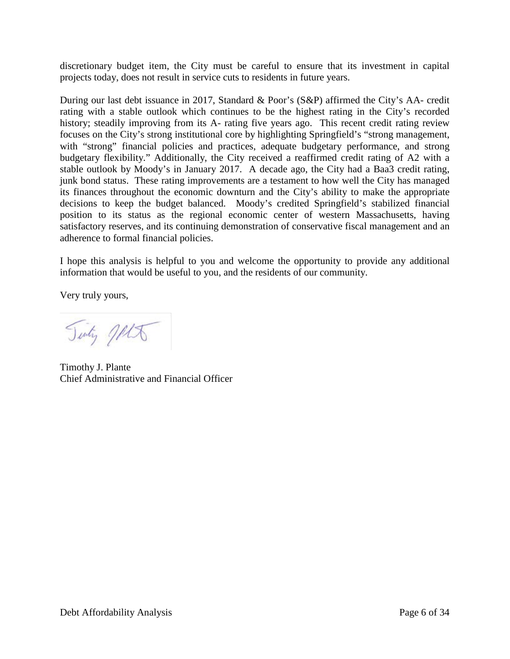discretionary budget item, the City must be careful to ensure that its investment in capital projects today, does not result in service cuts to residents in future years.

During our last debt issuance in 2017, Standard & Poor's (S&P) affirmed the City's AA- credit rating with a stable outlook which continues to be the highest rating in the City's recorded history; steadily improving from its A- rating five years ago. This recent credit rating review focuses on the City's strong institutional core by highlighting Springfield's "strong management, with "strong" financial policies and practices, adequate budgetary performance, and strong budgetary flexibility." Additionally, the City received a reaffirmed credit rating of A2 with a stable outlook by Moody's in January 2017. A decade ago, the City had a Baa3 credit rating, junk bond status. These rating improvements are a testament to how well the City has managed its finances throughout the economic downturn and the City's ability to make the appropriate decisions to keep the budget balanced. Moody's credited Springfield's stabilized financial position to its status as the regional economic center of western Massachusetts, having satisfactory reserves, and its continuing demonstration of conservative fiscal management and an adherence to formal financial policies.

I hope this analysis is helpful to you and welcome the opportunity to provide any additional information that would be useful to you, and the residents of our community.

Very truly yours,

Tinty MA

Timothy J. Plante Chief Administrative and Financial Officer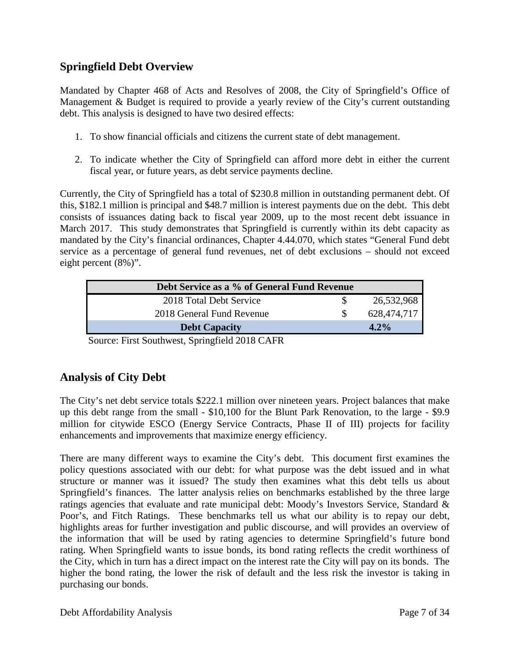## **Springfield Debt Overview**

Mandated by Chapter 468 of Acts and Resolves of 2008, the City of Springfield's Office of Management & Budget is required to provide a yearly review of the City's current outstanding debt. This analysis is designed to have two desired effects:

- 1. To show financial officials and citizens the current state of debt management.
- 2. To indicate whether the City of Springfield can afford more debt in either the current fiscal year, or future years, as debt service payments decline.

Currently, the City of Springfield has a total of \$230.8 million in outstanding permanent debt. Of this, \$182.1 million is principal and \$48.7 million is interest payments due on the debt. This debt consists of issuances dating back to fiscal year 2009, up to the most recent debt issuance in March 2017. This study demonstrates that Springfield is currently within its debt capacity as mandated by the City's financial ordinances, Chapter 4.44.070, which states "General Fund debt service as a percentage of general fund revenues, net of debt exclusions – should not exceed eight percent (8%)".

| Debt Service as a % of General Fund Revenue |  |             |
|---------------------------------------------|--|-------------|
| 2018 Total Debt Service                     |  | 26,532,968  |
| 2018 General Fund Revenue                   |  | 628,474,717 |
| <b>Debt Capacity</b>                        |  | $4.2\%$     |

Source: First Southwest, Springfield 2018 CAFR

## **Analysis of City Debt**

The City's net debt service totals \$222.1 million over nineteen years. Project balances that make up this debt range from the small - \$10,100 for the Blunt Park Renovation, to the large - \$9.9 million for citywide ESCO (Energy Service Contracts, Phase II of III) projects for facility enhancements and improvements that maximize energy efficiency.

There are many different ways to examine the City's debt. This document first examines the policy questions associated with our debt: for what purpose was the debt issued and in what structure or manner was it issued? The study then examines what this debt tells us about Springfield's finances. The latter analysis relies on benchmarks established by the three large ratings agencies that evaluate and rate municipal debt: Moody's Investors Service, Standard & Poor's, and Fitch Ratings. These benchmarks tell us what our ability is to repay our debt, highlights areas for further investigation and public discourse, and will provides an overview of the information that will be used by rating agencies to determine Springfield's future bond rating. When Springfield wants to issue bonds, its bond rating reflects the credit worthiness of the City, which in turn has a direct impact on the interest rate the City will pay on its bonds. The higher the bond rating, the lower the risk of default and the less risk the investor is taking in purchasing our bonds.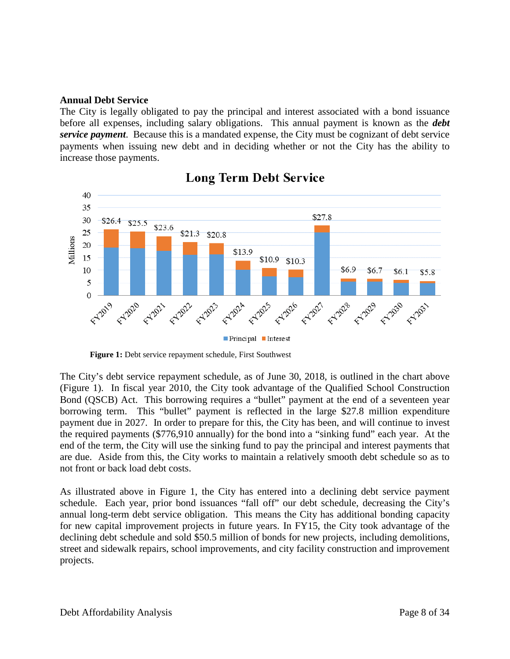#### **Annual Debt Service**

The City is legally obligated to pay the principal and interest associated with a bond issuance before all expenses, including salary obligations. This annual payment is known as the *debt service payment*. Because this is a mandated expense, the City must be cognizant of debt service payments when issuing new debt and in deciding whether or not the City has the ability to increase those payments.



## **Long Term Debt Service**

The City's debt service repayment schedule, as of June 30, 2018, is outlined in the chart above (Figure 1). In fiscal year 2010, the City took advantage of the Qualified School Construction Bond (QSCB) Act. This borrowing requires a "bullet" payment at the end of a seventeen year borrowing term. This "bullet" payment is reflected in the large \$27.8 million expenditure payment due in 2027. In order to prepare for this, the City has been, and will continue to invest the required payments (\$776,910 annually) for the bond into a "sinking fund" each year. At the end of the term, the City will use the sinking fund to pay the principal and interest payments that are due. Aside from this, the City works to maintain a relatively smooth debt schedule so as to not front or back load debt costs.

As illustrated above in Figure 1, the City has entered into a declining debt service payment schedule. Each year, prior bond issuances "fall off" our debt schedule, decreasing the City's annual long-term debt service obligation. This means the City has additional bonding capacity for new capital improvement projects in future years. In FY15, the City took advantage of the declining debt schedule and sold \$50.5 million of bonds for new projects, including demolitions, street and sidewalk repairs, school improvements, and city facility construction and improvement projects.

**Figure 1:** Debt service repayment schedule, First Southwest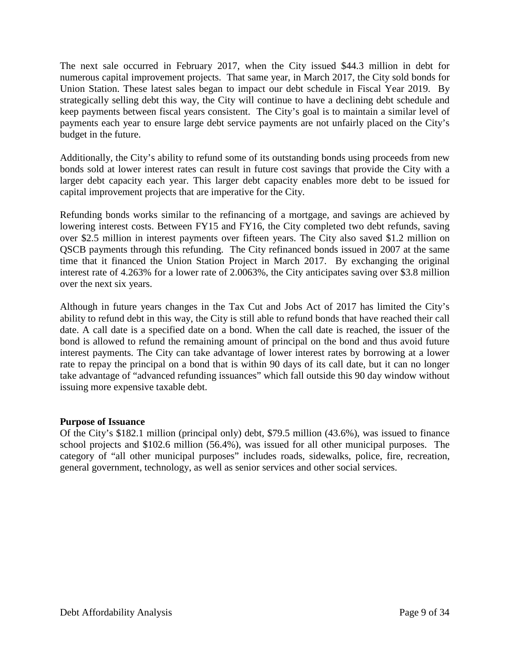The next sale occurred in February 2017, when the City issued \$44.3 million in debt for numerous capital improvement projects. That same year, in March 2017, the City sold bonds for Union Station. These latest sales began to impact our debt schedule in Fiscal Year 2019. By strategically selling debt this way, the City will continue to have a declining debt schedule and keep payments between fiscal years consistent. The City's goal is to maintain a similar level of payments each year to ensure large debt service payments are not unfairly placed on the City's budget in the future.

Additionally, the City's ability to refund some of its outstanding bonds using proceeds from new bonds sold at lower interest rates can result in future cost savings that provide the City with a larger debt capacity each year. This larger debt capacity enables more debt to be issued for capital improvement projects that are imperative for the City.

Refunding bonds works similar to the refinancing of a mortgage, and savings are achieved by lowering interest costs. Between FY15 and FY16, the City completed two debt refunds, saving over \$2.5 million in interest payments over fifteen years. The City also saved \$1.2 million on QSCB payments through this refunding. The City refinanced bonds issued in 2007 at the same time that it financed the Union Station Project in March 2017. By exchanging the original interest rate of 4.263% for a lower rate of 2.0063%, the City anticipates saving over \$3.8 million over the next six years.

Although in future years changes in the Tax Cut and Jobs Act of 2017 has limited the City's ability to refund debt in this way, the City is still able to refund bonds that have reached their call date. A call date is a specified date on a bond. When the call date is reached, the issuer of the bond is allowed to refund the remaining amount of principal on the bond and thus avoid future interest payments. The City can take advantage of lower interest rates by borrowing at a lower rate to repay the principal on a bond that is within 90 days of its call date, but it can no longer take advantage of "advanced refunding issuances" which fall outside this 90 day window without issuing more expensive taxable debt.

#### **Purpose of Issuance**

Of the City's \$182.1 million (principal only) debt, \$79.5 million (43.6%), was issued to finance school projects and \$102.6 million (56.4%), was issued for all other municipal purposes. The category of "all other municipal purposes" includes roads, sidewalks, police, fire, recreation, general government, technology, as well as senior services and other social services.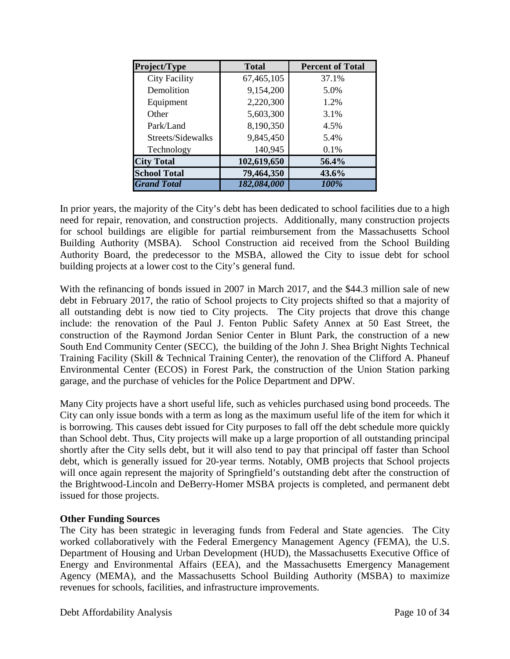| Project/Type         | <b>Total</b> | <b>Percent of Total</b> |
|----------------------|--------------|-------------------------|
| <b>City Facility</b> | 67,465,105   | 37.1%                   |
| Demolition           | 9,154,200    | 5.0%                    |
| Equipment            | 2,220,300    | 1.2%                    |
| Other                | 5,603,300    | 3.1%                    |
| Park/Land            | 8,190,350    | 4.5%                    |
| Streets/Sidewalks    | 9,845,450    | 5.4%                    |
| Technology           | 140,945      | 0.1%                    |
| <b>City Total</b>    | 102,619,650  | 56.4%                   |
| <b>School Total</b>  | 79,464,350   | 43.6%                   |
| <b>Grand Total</b>   | 182,084,000  | 100%                    |

In prior years, the majority of the City's debt has been dedicated to school facilities due to a high need for repair, renovation, and construction projects. Additionally, many construction projects for school buildings are eligible for partial reimbursement from the Massachusetts School Building Authority (MSBA). School Construction aid received from the School Building Authority Board, the predecessor to the MSBA, allowed the City to issue debt for school building projects at a lower cost to the City's general fund.

With the refinancing of bonds issued in 2007 in March 2017, and the \$44.3 million sale of new debt in February 2017, the ratio of School projects to City projects shifted so that a majority of all outstanding debt is now tied to City projects. The City projects that drove this change include: the renovation of the Paul J. Fenton Public Safety Annex at 50 East Street, the construction of the Raymond Jordan Senior Center in Blunt Park, the construction of a new South End Community Center (SECC), the building of the John J. Shea Bright Nights Technical Training Facility (Skill & Technical Training Center), the renovation of the Clifford A. Phaneuf Environmental Center (ECOS) in Forest Park, the construction of the Union Station parking garage, and the purchase of vehicles for the Police Department and DPW.

Many City projects have a short useful life, such as vehicles purchased using bond proceeds. The City can only issue bonds with a term as long as the maximum useful life of the item for which it is borrowing. This causes debt issued for City purposes to fall off the debt schedule more quickly than School debt. Thus, City projects will make up a large proportion of all outstanding principal shortly after the City sells debt, but it will also tend to pay that principal off faster than School debt, which is generally issued for 20-year terms. Notably, OMB projects that School projects will once again represent the majority of Springfield's outstanding debt after the construction of the Brightwood-Lincoln and DeBerry-Homer MSBA projects is completed, and permanent debt issued for those projects.

#### **Other Funding Sources**

The City has been strategic in leveraging funds from Federal and State agencies. The City worked collaboratively with the Federal Emergency Management Agency (FEMA), the U.S. Department of Housing and Urban Development (HUD), the Massachusetts Executive Office of Energy and Environmental Affairs (EEA), and the Massachusetts Emergency Management Agency (MEMA), and the Massachusetts School Building Authority (MSBA) to maximize revenues for schools, facilities, and infrastructure improvements.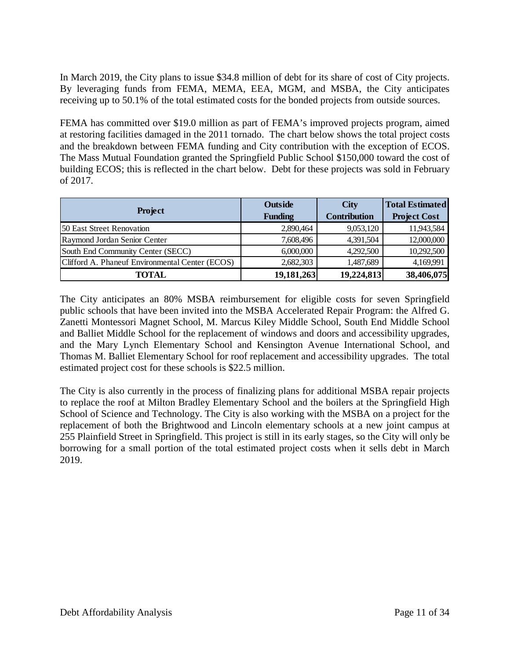In March 2019, the City plans to issue \$34.8 million of debt for its share of cost of City projects. By leveraging funds from FEMA, MEMA, EEA, MGM, and MSBA, the City anticipates receiving up to 50.1% of the total estimated costs for the bonded projects from outside sources.

FEMA has committed over \$19.0 million as part of FEMA's improved projects program, aimed at restoring facilities damaged in the 2011 tornado. The chart below shows the total project costs and the breakdown between FEMA funding and City contribution with the exception of ECOS. The Mass Mutual Foundation granted the Springfield Public School \$150,000 toward the cost of building ECOS; this is reflected in the chart below. Debt for these projects was sold in February of 2017.

|                                                 | Outside        | <b>City</b>         | <b>Total Estimated</b> |
|-------------------------------------------------|----------------|---------------------|------------------------|
| <b>Project</b>                                  | <b>Funding</b> | <b>Contribution</b> | <b>Project Cost</b>    |
| 50 East Street Renovation                       | 2,890,464      | 9,053,120           | 11,943,584             |
| Raymond Jordan Senior Center                    | 7,608,496      | 4,391,504           | 12,000,000             |
| South End Community Center (SECC)               | 6,000,000      | 4,292,500           | 10,292,500             |
| Clifford A. Phaneuf Environmental Center (ECOS) | 2,682,303      | 1,487,689           | 4,169,991              |
| TOTAL                                           | 19,181,263     | 19,224,813          | 38,406,075             |

The City anticipates an 80% MSBA reimbursement for eligible costs for seven Springfield public schools that have been invited into the MSBA Accelerated Repair Program: the Alfred G. Zanetti Montessori Magnet School, M. Marcus Kiley Middle School, South End Middle School and Balliet Middle School for the replacement of windows and doors and accessibility upgrades, and the Mary Lynch Elementary School and Kensington Avenue International School, and Thomas M. Balliet Elementary School for roof replacement and accessibility upgrades. The total estimated project cost for these schools is \$22.5 million.

The City is also currently in the process of finalizing plans for additional MSBA repair projects to replace the roof at Milton Bradley Elementary School and the boilers at the Springfield High School of Science and Technology. The City is also working with the MSBA on a project for the replacement of both the Brightwood and Lincoln elementary schools at a new joint campus at 255 Plainfield Street in Springfield. This project is still in its early stages, so the City will only be borrowing for a small portion of the total estimated project costs when it sells debt in March 2019.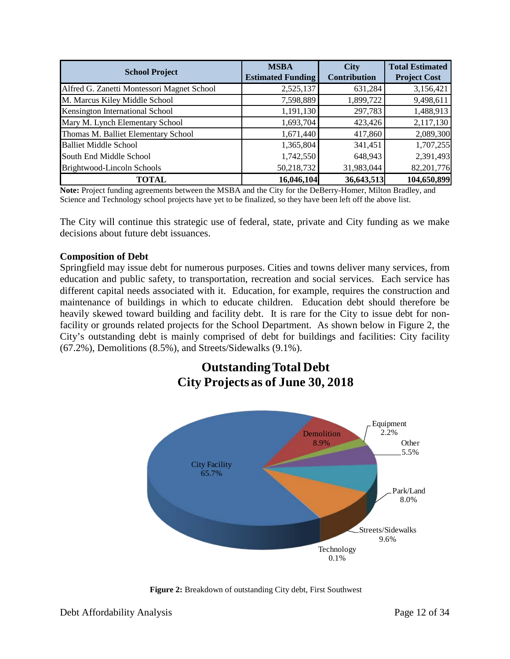| <b>School Project</b>                      | <b>MSBA</b><br><b>Estimated Funding</b> | <b>City</b><br><b>Contribution</b> | <b>Total Estimated</b><br><b>Project Cost</b> |
|--------------------------------------------|-----------------------------------------|------------------------------------|-----------------------------------------------|
| Alfred G. Zanetti Montessori Magnet School | 2,525,137                               | 631,284                            | 3,156,421                                     |
| M. Marcus Kiley Middle School              | 7,598,889                               | 1,899,722                          | 9,498,611                                     |
| Kensington International School            | 1,191,130                               | 297,783                            | 1,488,913                                     |
| Mary M. Lynch Elementary School            | 1,693,704                               | 423,426                            | 2,117,130                                     |
| Thomas M. Balliet Elementary School        | 1,671,440                               | 417,860                            | 2,089,300                                     |
| <b>Balliet Middle School</b>               | 1,365,804                               | 341,451                            | 1,707,255                                     |
| South End Middle School                    | 1,742,550                               | 648,943                            | 2,391,493                                     |
| Brightwood-Lincoln Schools                 | 50,218,732                              | 31,983,044                         | 82,201,776                                    |
| <b>TOTAL</b>                               | 16,046,104                              | 36,643,513                         | 104,650,899                                   |

**Note:** Project funding agreements between the MSBA and the City for the DeBerry-Homer, Milton Bradley, and Science and Technology school projects have yet to be finalized, so they have been left off the above list.

The City will continue this strategic use of federal, state, private and City funding as we make decisions about future debt issuances.

#### **Composition of Debt**

Springfield may issue debt for numerous purposes. Cities and towns deliver many services, from education and public safety, to transportation, recreation and social services. Each service has different capital needs associated with it. Education, for example, requires the construction and maintenance of buildings in which to educate children. Education debt should therefore be heavily skewed toward building and facility debt. It is rare for the City to issue debt for nonfacility or grounds related projects for the School Department. As shown below in Figure 2, the City's outstanding debt is mainly comprised of debt for buildings and facilities: City facility (67.2%), Demolitions (8.5%), and Streets/Sidewalks (9.1%).

## **Outstanding Total Debt City Projects as of June 30, 2018**



**Figure 2:** Breakdown of outstanding City debt, First Southwest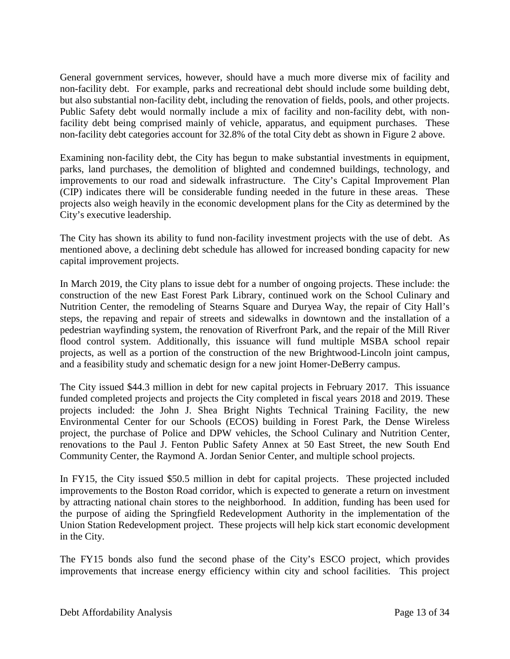General government services, however, should have a much more diverse mix of facility and non-facility debt. For example, parks and recreational debt should include some building debt, but also substantial non-facility debt, including the renovation of fields, pools, and other projects. Public Safety debt would normally include a mix of facility and non-facility debt, with nonfacility debt being comprised mainly of vehicle, apparatus, and equipment purchases. These non-facility debt categories account for 32.8% of the total City debt as shown in Figure 2 above.

Examining non-facility debt, the City has begun to make substantial investments in equipment, parks, land purchases, the demolition of blighted and condemned buildings, technology, and improvements to our road and sidewalk infrastructure. The City's Capital Improvement Plan (CIP) indicates there will be considerable funding needed in the future in these areas. These projects also weigh heavily in the economic development plans for the City as determined by the City's executive leadership.

The City has shown its ability to fund non-facility investment projects with the use of debt. As mentioned above, a declining debt schedule has allowed for increased bonding capacity for new capital improvement projects.

In March 2019, the City plans to issue debt for a number of ongoing projects. These include: the construction of the new East Forest Park Library, continued work on the School Culinary and Nutrition Center, the remodeling of Stearns Square and Duryea Way, the repair of City Hall's steps, the repaving and repair of streets and sidewalks in downtown and the installation of a pedestrian wayfinding system, the renovation of Riverfront Park, and the repair of the Mill River flood control system. Additionally, this issuance will fund multiple MSBA school repair projects, as well as a portion of the construction of the new Brightwood-Lincoln joint campus, and a feasibility study and schematic design for a new joint Homer-DeBerry campus.

The City issued \$44.3 million in debt for new capital projects in February 2017. This issuance funded completed projects and projects the City completed in fiscal years 2018 and 2019. These projects included: the John J. Shea Bright Nights Technical Training Facility, the new Environmental Center for our Schools (ECOS) building in Forest Park, the Dense Wireless project, the purchase of Police and DPW vehicles, the School Culinary and Nutrition Center, renovations to the Paul J. Fenton Public Safety Annex at 50 East Street, the new South End Community Center, the Raymond A. Jordan Senior Center, and multiple school projects.

In FY15, the City issued \$50.5 million in debt for capital projects. These projected included improvements to the Boston Road corridor, which is expected to generate a return on investment by attracting national chain stores to the neighborhood. In addition, funding has been used for the purpose of aiding the Springfield Redevelopment Authority in the implementation of the Union Station Redevelopment project. These projects will help kick start economic development in the City.

The FY15 bonds also fund the second phase of the City's ESCO project, which provides improvements that increase energy efficiency within city and school facilities. This project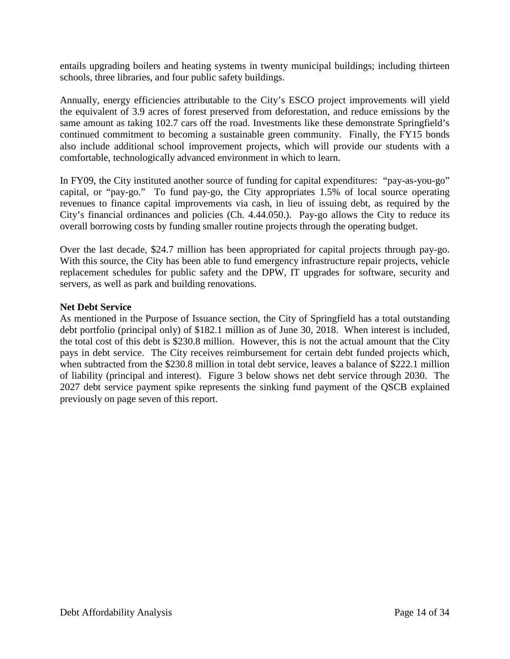entails upgrading boilers and heating systems in twenty municipal buildings; including thirteen schools, three libraries, and four public safety buildings.

Annually, energy efficiencies attributable to the City's ESCO project improvements will yield the equivalent of 3.9 acres of forest preserved from deforestation, and reduce emissions by the same amount as taking 102.7 cars off the road. Investments like these demonstrate Springfield's continued commitment to becoming a sustainable green community. Finally, the FY15 bonds also include additional school improvement projects, which will provide our students with a comfortable, technologically advanced environment in which to learn.

In FY09, the City instituted another source of funding for capital expenditures: "pay-as-you-go" capital, or "pay-go." To fund pay-go, the City appropriates 1.5% of local source operating revenues to finance capital improvements via cash, in lieu of issuing debt, as required by the City's financial ordinances and policies (Ch. 4.44.050.). Pay-go allows the City to reduce its overall borrowing costs by funding smaller routine projects through the operating budget.

Over the last decade, \$24.7 million has been appropriated for capital projects through pay-go. With this source, the City has been able to fund emergency infrastructure repair projects, vehicle replacement schedules for public safety and the DPW, IT upgrades for software, security and servers, as well as park and building renovations.

#### **Net Debt Service**

As mentioned in the Purpose of Issuance section, the City of Springfield has a total outstanding debt portfolio (principal only) of \$182.1 million as of June 30, 2018. When interest is included, the total cost of this debt is \$230.8 million. However, this is not the actual amount that the City pays in debt service. The City receives reimbursement for certain debt funded projects which, when subtracted from the \$230.8 million in total debt service, leaves a balance of \$222.1 million of liability (principal and interest). Figure 3 below shows net debt service through 2030. The 2027 debt service payment spike represents the sinking fund payment of the QSCB explained previously on page seven of this report.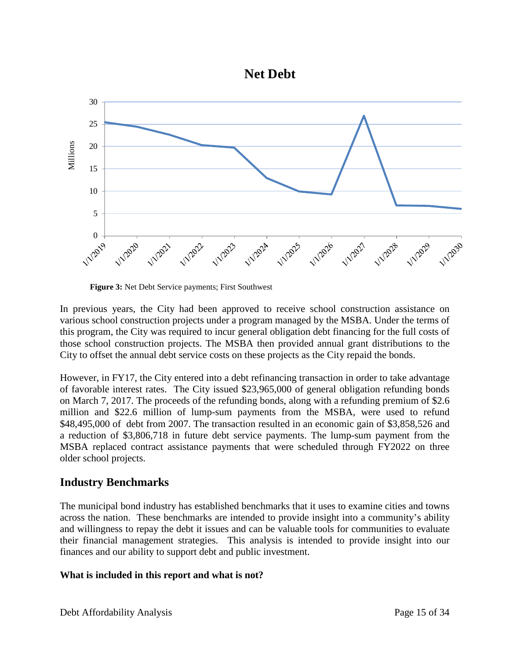



**Figure 3:** Net Debt Service payments; First Southwest

In previous years, the City had been approved to receive school construction assistance on various school construction projects under a program managed by the MSBA. Under the terms of this program, the City was required to incur general obligation debt financing for the full costs of those school construction projects. The MSBA then provided annual grant distributions to the City to offset the annual debt service costs on these projects as the City repaid the bonds.

However, in FY17, the City entered into a debt refinancing transaction in order to take advantage of favorable interest rates. The City issued \$23,965,000 of general obligation refunding bonds on March 7, 2017. The proceeds of the refunding bonds, along with a refunding premium of \$2.6 million and \$22.6 million of lump-sum payments from the MSBA, were used to refund \$48,495,000 of debt from 2007. The transaction resulted in an economic gain of \$3,858,526 and a reduction of \$3,806,718 in future debt service payments. The lump-sum payment from the MSBA replaced contract assistance payments that were scheduled through FY2022 on three older school projects.

## **Industry Benchmarks**

The municipal bond industry has established benchmarks that it uses to examine cities and towns across the nation. These benchmarks are intended to provide insight into a community's ability and willingness to repay the debt it issues and can be valuable tools for communities to evaluate their financial management strategies. This analysis is intended to provide insight into our finances and our ability to support debt and public investment.

#### **What is included in this report and what is not?**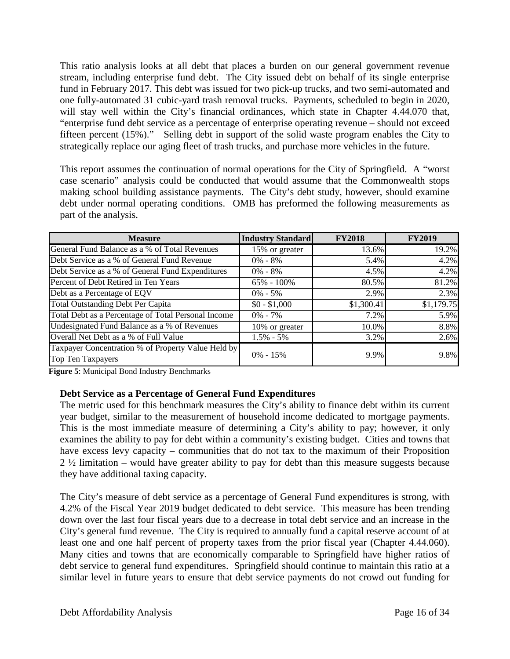This ratio analysis looks at all debt that places a burden on our general government revenue stream, including enterprise fund debt. The City issued debt on behalf of its single enterprise fund in February 2017. This debt was issued for two pick-up trucks, and two semi-automated and one fully-automated 31 cubic-yard trash removal trucks. Payments, scheduled to begin in 2020, will stay well within the City's financial ordinances, which state in Chapter 4.44.070 that, "enterprise fund debt service as a percentage of enterprise operating revenue – should not exceed fifteen percent (15%)." Selling debt in support of the solid waste program enables the City to strategically replace our aging fleet of trash trucks, and purchase more vehicles in the future.

This report assumes the continuation of normal operations for the City of Springfield. A "worst case scenario" analysis could be conducted that would assume that the Commonwealth stops making school building assistance payments. The City's debt study, however, should examine debt under normal operating conditions. OMB has preformed the following measurements as part of the analysis.

| <b>Measure</b>                                                          | <b>Industry Standard</b> | <b>FY2018</b> | <b>FY2019</b> |
|-------------------------------------------------------------------------|--------------------------|---------------|---------------|
| General Fund Balance as a % of Total Revenues                           | 15% or greater           | 13.6%         | 19.2%         |
| Debt Service as a % of General Fund Revenue                             | $0\% - 8\%$              | 5.4%          | 4.2%          |
| Debt Service as a % of General Fund Expenditures                        | $0\% - 8\%$              | 4.5%          | 4.2%          |
| Percent of Debt Retired in Ten Years                                    | 65% - 100%               | 80.5%         | 81.2%         |
| Debt as a Percentage of EQV                                             | $0\% - 5\%$              | 2.9%          | 2.3%          |
| <b>Total Outstanding Debt Per Capita</b>                                | $$0 - $1,000$            | \$1,300.41    | \$1,179.75    |
| Total Debt as a Percentage of Total Personal Income                     | $0\%$ - 7%               | 7.2%          | 5.9%          |
| Undesignated Fund Balance as a % of Revenues                            | 10% or greater           | 10.0%         | 8.8%          |
| Overall Net Debt as a % of Full Value                                   | $1.5\% - 5\%$            | 3.2%          | 2.6%          |
| Taxpayer Concentration % of Property Value Held by<br>Top Ten Taxpayers | $0\% - 15\%$             | 9.9%          | 9.8%          |

**Figure 5**: Municipal Bond Industry Benchmarks

#### **Debt Service as a Percentage of General Fund Expenditures**

The metric used for this benchmark measures the City's ability to finance debt within its current year budget, similar to the measurement of household income dedicated to mortgage payments. This is the most immediate measure of determining a City's ability to pay; however, it only examines the ability to pay for debt within a community's existing budget. Cities and towns that have excess levy capacity – communities that do not tax to the maximum of their Proposition 2 ½ limitation – would have greater ability to pay for debt than this measure suggests because they have additional taxing capacity.

The City's measure of debt service as a percentage of General Fund expenditures is strong, with 4.2% of the Fiscal Year 2019 budget dedicated to debt service. This measure has been trending down over the last four fiscal years due to a decrease in total debt service and an increase in the City's general fund revenue. The City is required to annually fund a capital reserve account of at least one and one half percent of property taxes from the prior fiscal year (Chapter 4.44.060). Many cities and towns that are economically comparable to Springfield have higher ratios of debt service to general fund expenditures. Springfield should continue to maintain this ratio at a similar level in future years to ensure that debt service payments do not crowd out funding for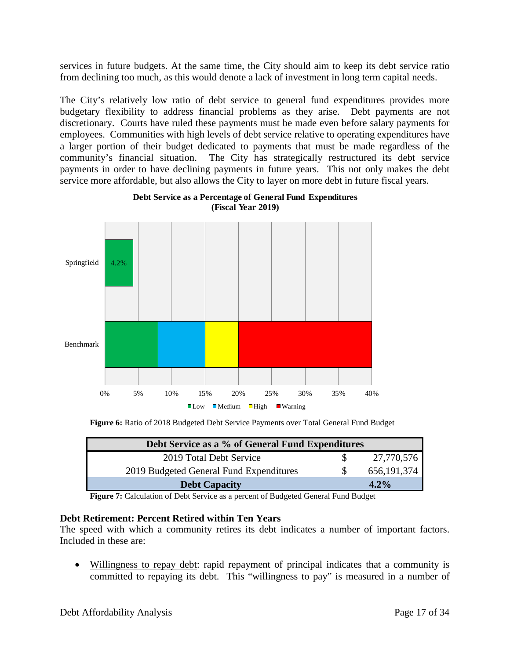services in future budgets. At the same time, the City should aim to keep its debt service ratio from declining too much, as this would denote a lack of investment in long term capital needs.

The City's relatively low ratio of debt service to general fund expenditures provides more budgetary flexibility to address financial problems as they arise. Debt payments are not discretionary. Courts have ruled these payments must be made even before salary payments for employees. Communities with high levels of debt service relative to operating expenditures have a larger portion of their budget dedicated to payments that must be made regardless of the community's financial situation. The City has strategically restructured its debt service payments in order to have declining payments in future years. This not only makes the debt service more affordable, but also allows the City to layer on more debt in future fiscal years.



**Debt Service as a Percentage of General Fund Expenditures (Fiscal Year 2019)**

**Figure 6:** Ratio of 2018 Budgeted Debt Service Payments over Total General Fund Budget

| Debt Service as a % of General Fund Expenditures |               |
|--------------------------------------------------|---------------|
| 2019 Total Debt Service                          | 27,770,576    |
| 2019 Budgeted General Fund Expenditures          | 656, 191, 374 |
| <b>Debt Capacity</b>                             | $4.2\%$       |

**Figure 7:** Calculation of Debt Service as a percent of Budgeted General Fund Budget

#### **Debt Retirement: Percent Retired within Ten Years**

The speed with which a community retires its debt indicates a number of important factors. Included in these are:

• Willingness to repay debt: rapid repayment of principal indicates that a community is committed to repaying its debt. This "willingness to pay" is measured in a number of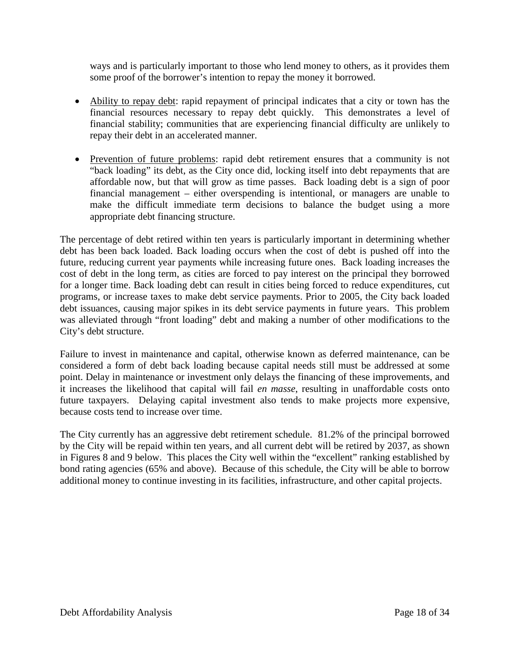ways and is particularly important to those who lend money to others, as it provides them some proof of the borrower's intention to repay the money it borrowed.

- Ability to repay debt: rapid repayment of principal indicates that a city or town has the financial resources necessary to repay debt quickly. This demonstrates a level of financial stability; communities that are experiencing financial difficulty are unlikely to repay their debt in an accelerated manner.
- Prevention of future problems: rapid debt retirement ensures that a community is not "back loading" its debt, as the City once did, locking itself into debt repayments that are affordable now, but that will grow as time passes. Back loading debt is a sign of poor financial management – either overspending is intentional, or managers are unable to make the difficult immediate term decisions to balance the budget using a more appropriate debt financing structure.

The percentage of debt retired within ten years is particularly important in determining whether debt has been back loaded. Back loading occurs when the cost of debt is pushed off into the future, reducing current year payments while increasing future ones. Back loading increases the cost of debt in the long term, as cities are forced to pay interest on the principal they borrowed for a longer time. Back loading debt can result in cities being forced to reduce expenditures, cut programs, or increase taxes to make debt service payments. Prior to 2005, the City back loaded debt issuances, causing major spikes in its debt service payments in future years. This problem was alleviated through "front loading" debt and making a number of other modifications to the City's debt structure.

Failure to invest in maintenance and capital, otherwise known as deferred maintenance, can be considered a form of debt back loading because capital needs still must be addressed at some point. Delay in maintenance or investment only delays the financing of these improvements, and it increases the likelihood that capital will fail *en masse*, resulting in unaffordable costs onto future taxpayers. Delaying capital investment also tends to make projects more expensive, because costs tend to increase over time.

The City currently has an aggressive debt retirement schedule. 81.2% of the principal borrowed by the City will be repaid within ten years, and all current debt will be retired by 2037, as shown in Figures 8 and 9 below. This places the City well within the "excellent" ranking established by bond rating agencies (65% and above). Because of this schedule, the City will be able to borrow additional money to continue investing in its facilities, infrastructure, and other capital projects.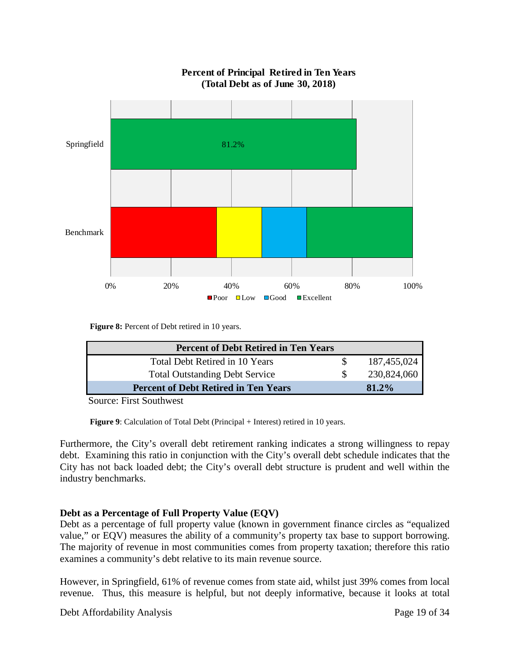

#### **Percent of Principal Retired in Ten Years (Total Debt as of June 30, 2018)**

**Figure 8:** Percent of Debt retired in 10 years.

| <b>Percent of Debt Retired in Ten Years</b> |             |
|---------------------------------------------|-------------|
| Total Debt Retired in 10 Years              | 187,455,024 |
| <b>Total Outstanding Debt Service</b>       | 230,824,060 |
| <b>Percent of Debt Retired in Ten Years</b> | $81.2\%$    |
|                                             |             |

Source: First Southwest

**Figure 9:** Calculation of Total Debt (Principal + Interest) retired in 10 years.

Furthermore, the City's overall debt retirement ranking indicates a strong willingness to repay debt. Examining this ratio in conjunction with the City's overall debt schedule indicates that the City has not back loaded debt; the City's overall debt structure is prudent and well within the industry benchmarks.

#### **Debt as a Percentage of Full Property Value (EQV)**

Debt as a percentage of full property value (known in government finance circles as "equalized value," or EQV) measures the ability of a community's property tax base to support borrowing. The majority of revenue in most communities comes from property taxation; therefore this ratio examines a community's debt relative to its main revenue source.

However, in Springfield, 61% of revenue comes from state aid, whilst just 39% comes from local revenue. Thus, this measure is helpful, but not deeply informative, because it looks at total

Debt Affordability Analysis Page 19 of 34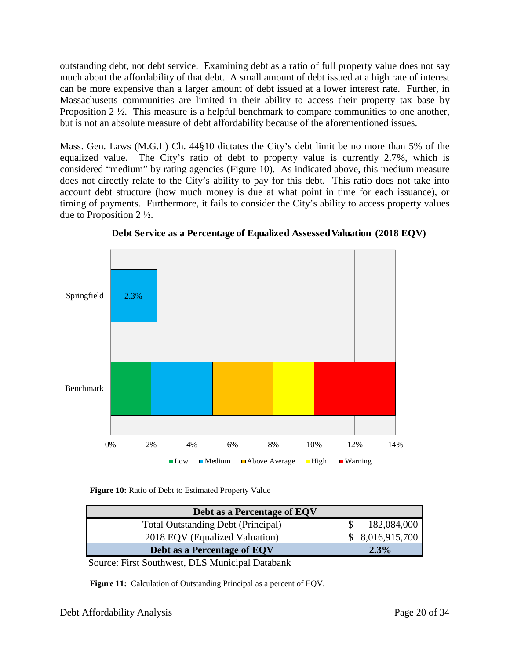outstanding debt, not debt service. Examining debt as a ratio of full property value does not say much about the affordability of that debt. A small amount of debt issued at a high rate of interest can be more expensive than a larger amount of debt issued at a lower interest rate. Further, in Massachusetts communities are limited in their ability to access their property tax base by Proposition  $2 \frac{1}{2}$ . This measure is a helpful benchmark to compare communities to one another, but is not an absolute measure of debt affordability because of the aforementioned issues.

Mass. Gen. Laws (M.G.L) Ch. 44§10 dictates the City's debt limit be no more than 5% of the equalized value. The City's ratio of debt to property value is currently 2.7%, which is considered "medium" by rating agencies (Figure 10). As indicated above, this medium measure does not directly relate to the City's ability to pay for this debt. This ratio does not take into account debt structure (how much money is due at what point in time for each issuance), or timing of payments. Furthermore, it fails to consider the City's ability to access property values due to Proposition 2 ½.



**Debt Service as a Percentage of Equalized Assessed Valuation (2018 EQV)**

**Figure 10:** Ratio of Debt to Estimated Property Value

| Debt as a Percentage of EQV               |                 |
|-------------------------------------------|-----------------|
| <b>Total Outstanding Debt (Principal)</b> | 182,084,000     |
| 2018 EQV (Equalized Valuation)            | \$8,016,915,700 |
| Debt as a Percentage of EQV               | $2.3\%$         |

Source: First Southwest, DLS Municipal Databank

**Figure 11:** Calculation of Outstanding Principal as a percent of EQV.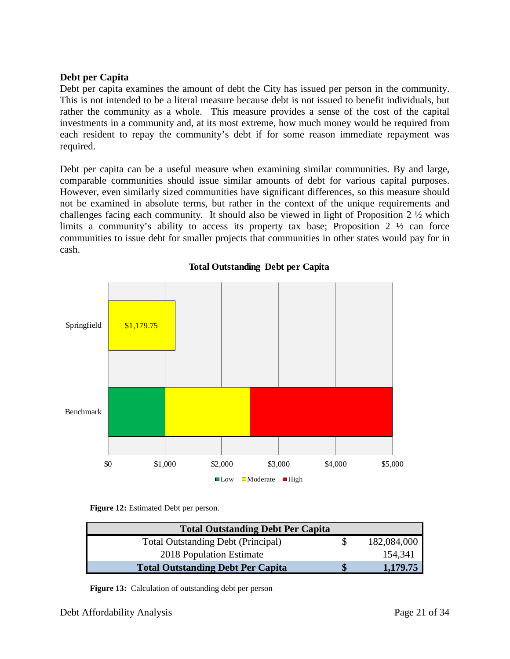#### **Debt per Capita**

Debt per capita examines the amount of debt the City has issued per person in the community. This is not intended to be a literal measure because debt is not issued to benefit individuals, but rather the community as a whole. This measure provides a sense of the cost of the capital investments in a community and, at its most extreme, how much money would be required from each resident to repay the community's debt if for some reason immediate repayment was required.

Debt per capita can be a useful measure when examining similar communities. By and large, comparable communities should issue similar amounts of debt for various capital purposes. However, even similarly sized communities have significant differences, so this measure should not be examined in absolute terms, but rather in the context of the unique requirements and challenges facing each community. It should also be viewed in light of Proposition 2 ½ which limits a community's ability to access its property tax base; Proposition 2 ½ can force communities to issue debt for smaller projects that communities in other states would pay for in cash.



**Total Outstanding Debt per Capita**

**Figure 12:** Estimated Debt per person.

| <b>Total Outstanding Debt Per Capita</b>  |             |
|-------------------------------------------|-------------|
| <b>Total Outstanding Debt (Principal)</b> | 182,084,000 |
| 2018 Population Estimate                  | 154,341     |
| <b>Total Outstanding Debt Per Capita</b>  | 1,179.75    |

**Figure 13:** Calculation of outstanding debt per person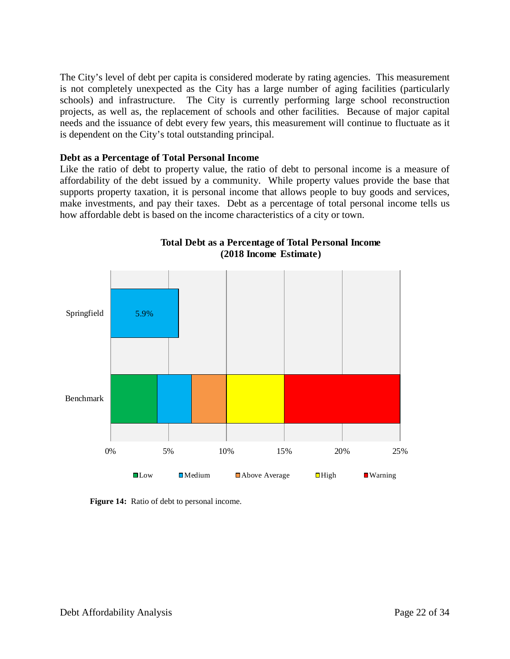The City's level of debt per capita is considered moderate by rating agencies. This measurement is not completely unexpected as the City has a large number of aging facilities (particularly schools) and infrastructure. The City is currently performing large school reconstruction projects, as well as, the replacement of schools and other facilities. Because of major capital needs and the issuance of debt every few years, this measurement will continue to fluctuate as it is dependent on the City's total outstanding principal.

#### **Debt as a Percentage of Total Personal Income**

Like the ratio of debt to property value, the ratio of debt to personal income is a measure of affordability of the debt issued by a community. While property values provide the base that supports property taxation, it is personal income that allows people to buy goods and services, make investments, and pay their taxes. Debt as a percentage of total personal income tells us how affordable debt is based on the income characteristics of a city or town.



**Total Debt as a Percentage of Total Personal Income (2018 Income Estimate)**

**Figure 14:** Ratio of debt to personal income.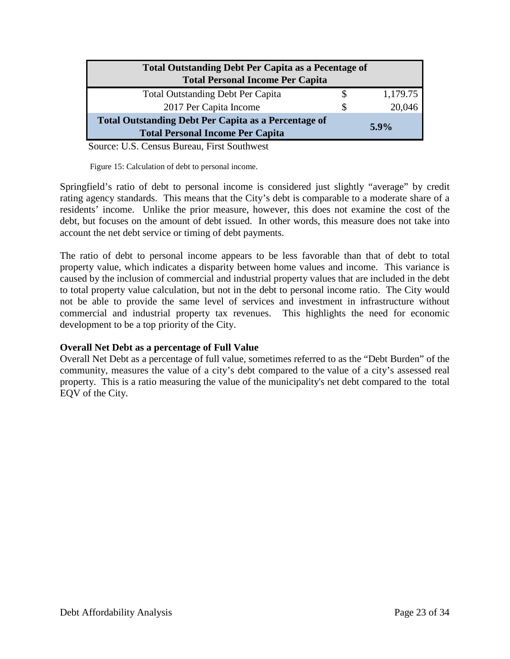| <b>Total Outstanding Debt Per Capita as a Pecentage of</b><br><b>Total Personal Income Per Capita</b>  |   |          |
|--------------------------------------------------------------------------------------------------------|---|----------|
| <b>Total Outstanding Debt Per Capita</b>                                                               |   | 1,179.75 |
| 2017 Per Capita Income                                                                                 | S | 20,046   |
| <b>Total Outstanding Debt Per Capita as a Percentage of</b><br><b>Total Personal Income Per Capita</b> |   | $5.9\%$  |

Source: U.S. Census Bureau, First Southwest

Figure 15: Calculation of debt to personal income.

Springfield's ratio of debt to personal income is considered just slightly "average" by credit rating agency standards. This means that the City's debt is comparable to a moderate share of a residents' income. Unlike the prior measure, however, this does not examine the cost of the debt, but focuses on the amount of debt issued. In other words, this measure does not take into account the net debt service or timing of debt payments.

The ratio of debt to personal income appears to be less favorable than that of debt to total property value, which indicates a disparity between home values and income. This variance is caused by the inclusion of commercial and industrial property values that are included in the debt to total property value calculation, but not in the debt to personal income ratio. The City would not be able to provide the same level of services and investment in infrastructure without commercial and industrial property tax revenues. This highlights the need for economic development to be a top priority of the City.

#### **Overall Net Debt as a percentage of Full Value**

Overall Net Debt as a percentage of full value, sometimes referred to as the "Debt Burden" of the community, measures the value of a city's debt compared to the value of a city's assessed real property. This is a ratio measuring the value of the municipality's net debt compared to the total EQV of the City.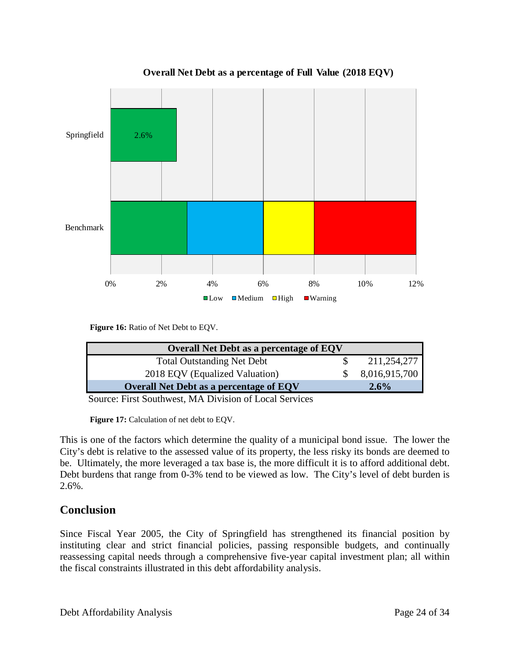

**Overall Net Debt as a percentage of Full Value (2018 EQV)**

**Figure 16:** Ratio of Net Debt to EQV.

| <b>Overall Net Debt as a percentage of EQV</b> |               |
|------------------------------------------------|---------------|
|                                                |               |
| <b>Total Outstanding Net Debt</b>              | 211,254,277   |
| 2018 EQV (Equalized Valuation)                 | 8,016,915,700 |
| <b>Overall Net Debt as a percentage of EQV</b> | 2.6%          |
|                                                |               |

Source: First Southwest, MA Division of Local Services

**Figure 17:** Calculation of net debt to EQV.

This is one of the factors which determine the quality of a municipal bond issue. The lower the City's debt is relative to the assessed value of its property, the less risky its bonds are deemed to be. Ultimately, the more leveraged a tax base is, the more difficult it is to afford additional debt. Debt burdens that range from 0-3% tend to be viewed as low. The City's level of debt burden is 2.6%.

## **Conclusion**

Since Fiscal Year 2005, the City of Springfield has strengthened its financial position by instituting clear and strict financial policies, passing responsible budgets, and continually reassessing capital needs through a comprehensive five-year capital investment plan; all within the fiscal constraints illustrated in this debt affordability analysis.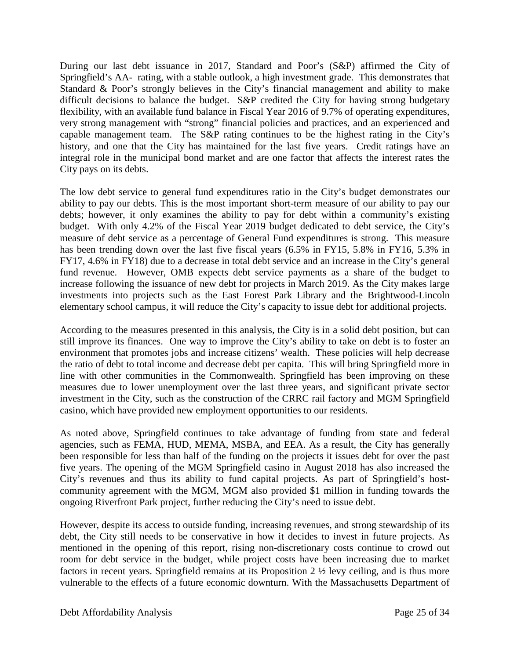During our last debt issuance in 2017, Standard and Poor's (S&P) affirmed the City of Springfield's AA- rating, with a stable outlook, a high investment grade. This demonstrates that Standard & Poor's strongly believes in the City's financial management and ability to make difficult decisions to balance the budget. S&P credited the City for having strong budgetary flexibility, with an available fund balance in Fiscal Year 2016 of 9.7% of operating expenditures, very strong management with "strong" financial policies and practices, and an experienced and capable management team. The S&P rating continues to be the highest rating in the City's history, and one that the City has maintained for the last five years. Credit ratings have an integral role in the municipal bond market and are one factor that affects the interest rates the City pays on its debts.

The low debt service to general fund expenditures ratio in the City's budget demonstrates our ability to pay our debts. This is the most important short-term measure of our ability to pay our debts; however, it only examines the ability to pay for debt within a community's existing budget. With only 4.2% of the Fiscal Year 2019 budget dedicated to debt service, the City's measure of debt service as a percentage of General Fund expenditures is strong. This measure has been trending down over the last five fiscal years (6.5% in FY15, 5.8% in FY16, 5.3% in FY17, 4.6% in FY18) due to a decrease in total debt service and an increase in the City's general fund revenue. However, OMB expects debt service payments as a share of the budget to increase following the issuance of new debt for projects in March 2019. As the City makes large investments into projects such as the East Forest Park Library and the Brightwood-Lincoln elementary school campus, it will reduce the City's capacity to issue debt for additional projects.

According to the measures presented in this analysis, the City is in a solid debt position, but can still improve its finances. One way to improve the City's ability to take on debt is to foster an environment that promotes jobs and increase citizens' wealth. These policies will help decrease the ratio of debt to total income and decrease debt per capita. This will bring Springfield more in line with other communities in the Commonwealth. Springfield has been improving on these measures due to lower unemployment over the last three years, and significant private sector investment in the City, such as the construction of the CRRC rail factory and MGM Springfield casino, which have provided new employment opportunities to our residents.

As noted above, Springfield continues to take advantage of funding from state and federal agencies, such as FEMA, HUD, MEMA, MSBA, and EEA. As a result, the City has generally been responsible for less than half of the funding on the projects it issues debt for over the past five years. The opening of the MGM Springfield casino in August 2018 has also increased the City's revenues and thus its ability to fund capital projects. As part of Springfield's hostcommunity agreement with the MGM, MGM also provided \$1 million in funding towards the ongoing Riverfront Park project, further reducing the City's need to issue debt.

However, despite its access to outside funding, increasing revenues, and strong stewardship of its debt, the City still needs to be conservative in how it decides to invest in future projects. As mentioned in the opening of this report, rising non-discretionary costs continue to crowd out room for debt service in the budget, while project costs have been increasing due to market factors in recent years. Springfield remains at its Proposition 2 ½ levy ceiling, and is thus more vulnerable to the effects of a future economic downturn. With the Massachusetts Department of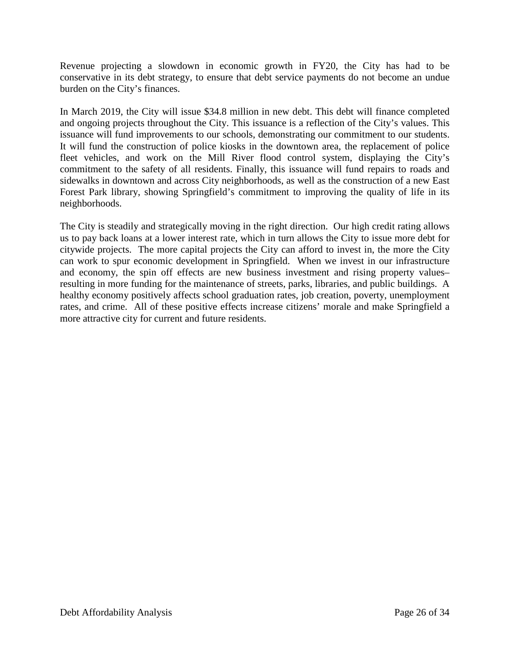Revenue projecting a slowdown in economic growth in FY20, the City has had to be conservative in its debt strategy, to ensure that debt service payments do not become an undue burden on the City's finances.

In March 2019, the City will issue \$34.8 million in new debt. This debt will finance completed and ongoing projects throughout the City. This issuance is a reflection of the City's values. This issuance will fund improvements to our schools, demonstrating our commitment to our students. It will fund the construction of police kiosks in the downtown area, the replacement of police fleet vehicles, and work on the Mill River flood control system, displaying the City's commitment to the safety of all residents. Finally, this issuance will fund repairs to roads and sidewalks in downtown and across City neighborhoods, as well as the construction of a new East Forest Park library, showing Springfield's commitment to improving the quality of life in its neighborhoods.

The City is steadily and strategically moving in the right direction. Our high credit rating allows us to pay back loans at a lower interest rate, which in turn allows the City to issue more debt for citywide projects. The more capital projects the City can afford to invest in, the more the City can work to spur economic development in Springfield. When we invest in our infrastructure and economy, the spin off effects are new business investment and rising property values– resulting in more funding for the maintenance of streets, parks, libraries, and public buildings. A healthy economy positively affects school graduation rates, job creation, poverty, unemployment rates, and crime. All of these positive effects increase citizens' morale and make Springfield a more attractive city for current and future residents.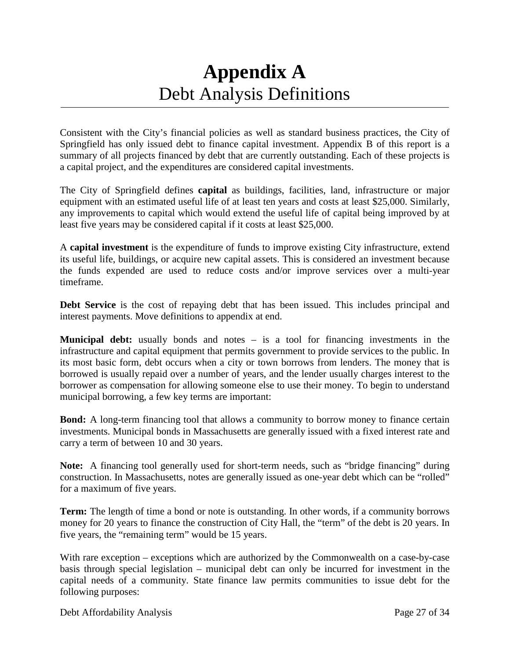## **Appendix A** Debt Analysis Definitions

Consistent with the City's financial policies as well as standard business practices, the City of Springfield has only issued debt to finance capital investment. Appendix B of this report is a summary of all projects financed by debt that are currently outstanding. Each of these projects is a capital project, and the expenditures are considered capital investments.

The City of Springfield defines **capital** as buildings, facilities, land, infrastructure or major equipment with an estimated useful life of at least ten years and costs at least \$25,000. Similarly, any improvements to capital which would extend the useful life of capital being improved by at least five years may be considered capital if it costs at least \$25,000.

A **capital investment** is the expenditure of funds to improve existing City infrastructure, extend its useful life, buildings, or acquire new capital assets. This is considered an investment because the funds expended are used to reduce costs and/or improve services over a multi-year timeframe.

**Debt Service** is the cost of repaying debt that has been issued. This includes principal and interest payments. Move definitions to appendix at end.

**Municipal debt:** usually bonds and notes – is a tool for financing investments in the infrastructure and capital equipment that permits government to provide services to the public. In its most basic form, debt occurs when a city or town borrows from lenders. The money that is borrowed is usually repaid over a number of years, and the lender usually charges interest to the borrower as compensation for allowing someone else to use their money. To begin to understand municipal borrowing, a few key terms are important:

**Bond:** A long-term financing tool that allows a community to borrow money to finance certain investments. Municipal bonds in Massachusetts are generally issued with a fixed interest rate and carry a term of between 10 and 30 years.

**Note:** A financing tool generally used for short-term needs, such as "bridge financing" during construction. In Massachusetts, notes are generally issued as one-year debt which can be "rolled" for a maximum of five years.

**Term:** The length of time a bond or note is outstanding. In other words, if a community borrows money for 20 years to finance the construction of City Hall, the "term" of the debt is 20 years. In five years, the "remaining term" would be 15 years.

With rare exception – exceptions which are authorized by the Commonwealth on a case-by-case basis through special legislation – municipal debt can only be incurred for investment in the capital needs of a community. State finance law permits communities to issue debt for the following purposes: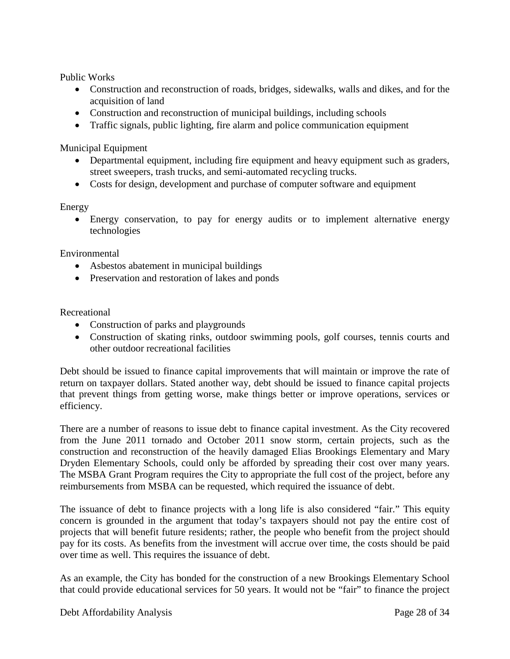Public Works

- Construction and reconstruction of roads, bridges, sidewalks, walls and dikes, and for the acquisition of land
- Construction and reconstruction of municipal buildings, including schools
- Traffic signals, public lighting, fire alarm and police communication equipment

Municipal Equipment

- Departmental equipment, including fire equipment and heavy equipment such as graders, street sweepers, trash trucks, and semi-automated recycling trucks.
- Costs for design, development and purchase of computer software and equipment

#### Energy

• Energy conservation, to pay for energy audits or to implement alternative energy technologies

Environmental

- Asbestos abatement in municipal buildings
- Preservation and restoration of lakes and ponds

Recreational

- Construction of parks and playgrounds
- Construction of skating rinks, outdoor swimming pools, golf courses, tennis courts and other outdoor recreational facilities

Debt should be issued to finance capital improvements that will maintain or improve the rate of return on taxpayer dollars. Stated another way, debt should be issued to finance capital projects that prevent things from getting worse, make things better or improve operations, services or efficiency.

There are a number of reasons to issue debt to finance capital investment. As the City recovered from the June 2011 tornado and October 2011 snow storm, certain projects, such as the construction and reconstruction of the heavily damaged Elias Brookings Elementary and Mary Dryden Elementary Schools, could only be afforded by spreading their cost over many years. The MSBA Grant Program requires the City to appropriate the full cost of the project, before any reimbursements from MSBA can be requested, which required the issuance of debt.

The issuance of debt to finance projects with a long life is also considered "fair." This equity concern is grounded in the argument that today's taxpayers should not pay the entire cost of projects that will benefit future residents; rather, the people who benefit from the project should pay for its costs. As benefits from the investment will accrue over time, the costs should be paid over time as well. This requires the issuance of debt.

As an example, the City has bonded for the construction of a new Brookings Elementary School that could provide educational services for 50 years. It would not be "fair" to finance the project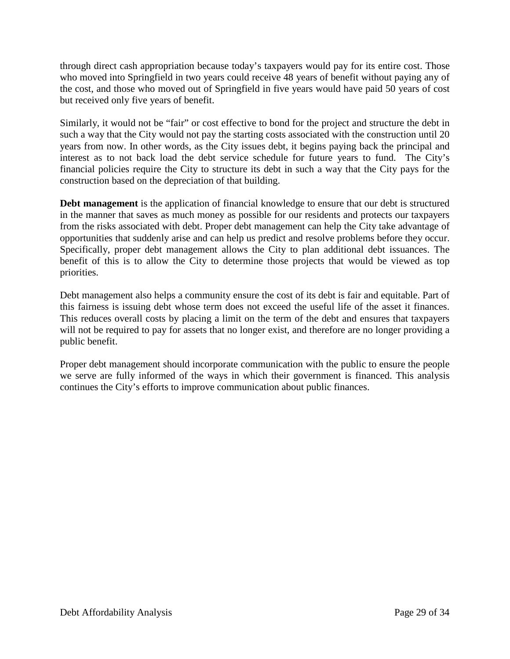through direct cash appropriation because today's taxpayers would pay for its entire cost. Those who moved into Springfield in two years could receive 48 years of benefit without paying any of the cost, and those who moved out of Springfield in five years would have paid 50 years of cost but received only five years of benefit.

Similarly, it would not be "fair" or cost effective to bond for the project and structure the debt in such a way that the City would not pay the starting costs associated with the construction until 20 years from now. In other words, as the City issues debt, it begins paying back the principal and interest as to not back load the debt service schedule for future years to fund. The City's financial policies require the City to structure its debt in such a way that the City pays for the construction based on the depreciation of that building.

**Debt management** is the application of financial knowledge to ensure that our debt is structured in the manner that saves as much money as possible for our residents and protects our taxpayers from the risks associated with debt. Proper debt management can help the City take advantage of opportunities that suddenly arise and can help us predict and resolve problems before they occur. Specifically, proper debt management allows the City to plan additional debt issuances. The benefit of this is to allow the City to determine those projects that would be viewed as top priorities.

Debt management also helps a community ensure the cost of its debt is fair and equitable. Part of this fairness is issuing debt whose term does not exceed the useful life of the asset it finances. This reduces overall costs by placing a limit on the term of the debt and ensures that taxpayers will not be required to pay for assets that no longer exist, and therefore are no longer providing a public benefit.

Proper debt management should incorporate communication with the public to ensure the people we serve are fully informed of the ways in which their government is financed. This analysis continues the City's efforts to improve communication about public finances.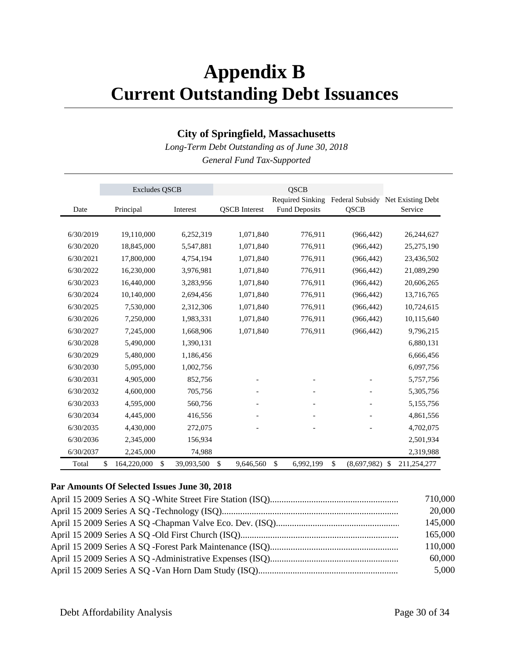## **Appendix B Current Outstanding Debt Issuances**

### **City of Springfield, Massachusetts**

*Long-Term Debt Outstanding as of June 30, 2018 General Fund Tax-Supported*

|           | <b>Excludes QSCB</b>    |            |                      | <b>QSCB</b>                                     |                   |                                              |
|-----------|-------------------------|------------|----------------------|-------------------------------------------------|-------------------|----------------------------------------------|
| Date      | Principal               | Interest   | <b>QSCB</b> Interest | <b>Required Sinking</b><br><b>Fund Deposits</b> | QSCB              | Federal Subsidy Net Existing Debt<br>Service |
|           |                         |            |                      |                                                 |                   |                                              |
|           |                         |            |                      |                                                 |                   |                                              |
| 6/30/2019 | 19,110,000              | 6,252,319  | 1,071,840            | 776,911                                         | (966, 442)        | 26,244,627                                   |
| 6/30/2020 | 18,845,000              | 5,547,881  | 1,071,840            | 776,911                                         | (966, 442)        | 25,275,190                                   |
| 6/30/2021 | 17,800,000              | 4,754,194  | 1,071,840            | 776,911                                         | (966, 442)        | 23,436,502                                   |
| 6/30/2022 | 16,230,000              | 3,976,981  | 1,071,840            | 776,911                                         | (966, 442)        | 21,089,290                                   |
| 6/30/2023 | 16,440,000              | 3,283,956  | 1,071,840            | 776,911                                         | (966, 442)        | 20,606,265                                   |
| 6/30/2024 | 10,140,000              | 2,694,456  | 1,071,840            | 776,911                                         | (966, 442)        | 13,716,765                                   |
| 6/30/2025 | 7,530,000               | 2,312,306  | 1,071,840            | 776,911                                         | (966, 442)        | 10,724,615                                   |
| 6/30/2026 | 7,250,000               | 1,983,331  | 1,071,840            | 776,911                                         | (966, 442)        | 10,115,640                                   |
| 6/30/2027 | 7,245,000               | 1,668,906  | 1,071,840            | 776,911                                         | (966, 442)        | 9,796,215                                    |
| 6/30/2028 | 5,490,000               | 1,390,131  |                      |                                                 |                   | 6,880,131                                    |
| 6/30/2029 | 5,480,000               | 1,186,456  |                      |                                                 |                   | 6,666,456                                    |
| 6/30/2030 | 5,095,000               | 1,002,756  |                      |                                                 |                   | 6,097,756                                    |
| 6/30/2031 | 4,905,000               | 852,756    |                      |                                                 |                   | 5,757,756                                    |
| 6/30/2032 | 4,600,000               | 705,756    |                      |                                                 |                   | 5,305,756                                    |
| 6/30/2033 | 4,595,000               | 560,756    |                      |                                                 |                   | 5,155,756                                    |
| 6/30/2034 | 4,445,000               | 416,556    |                      |                                                 |                   | 4,861,556                                    |
| 6/30/2035 | 4,430,000               | 272,075    |                      |                                                 |                   | 4,702,075                                    |
| 6/30/2036 | 2,345,000               | 156,934    |                      |                                                 |                   | 2,501,934                                    |
| 6/30/2037 | 2,245,000               | 74,988     |                      |                                                 |                   | 2,319,988                                    |
| Total     | \$<br>\$<br>164,220,000 | 39,093,500 | \$<br>9,646,560      | \$<br>6,992,199                                 | \$<br>(8,697,982) | 211,254,277<br>-\$                           |

#### **Par Amounts Of Selected Issues June 30, 2018**

| 710,000 |
|---------|
| 20,000  |
| 145,000 |
| 165,000 |
| 110,000 |
| 60,000  |
| 5,000   |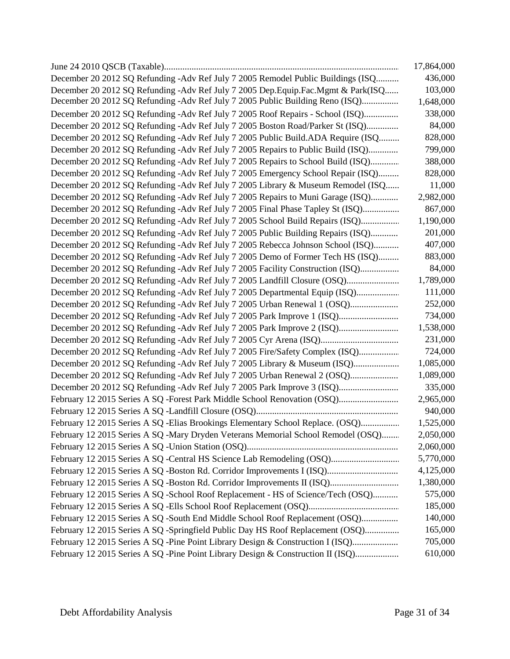|                                                                                   | 17,864,000 |
|-----------------------------------------------------------------------------------|------------|
| December 20 2012 SQ Refunding -Adv Ref July 7 2005 Remodel Public Buildings (ISQ  | 436,000    |
| December 20 2012 SQ Refunding -Adv Ref July 7 2005 Dep.Equip.Fac.Mgmt & Park(ISQ  | 103,000    |
| December 20 2012 SQ Refunding -Adv Ref July 7 2005 Public Building Reno (ISQ)     | 1,648,000  |
| December 20 2012 SQ Refunding -Adv Ref July 7 2005 Roof Repairs - School (ISQ)    | 338,000    |
| December 20 2012 SQ Refunding -Adv Ref July 7 2005 Boston Road/Parker St (ISQ)    | 84,000     |
| December 20 2012 SQ Refunding -Adv Ref July 7 2005 Public Build.ADA Require (ISQ  | 828,000    |
| December 20 2012 SQ Refunding -Adv Ref July 7 2005 Repairs to Public Build (ISQ)  | 799,000    |
| December 20 2012 SQ Refunding - Adv Ref July 7 2005 Repairs to School Build (ISQ) | 388,000    |
| December 20 2012 SQ Refunding -Adv Ref July 7 2005 Emergency School Repair (ISQ)  | 828,000    |
| December 20 2012 SQ Refunding -Adv Ref July 7 2005 Library & Museum Remodel (ISQ  | 11,000     |
| December 20 2012 SQ Refunding -Adv Ref July 7 2005 Repairs to Muni Garage (ISQ)   | 2,982,000  |
| December 20 2012 SQ Refunding -Adv Ref July 7 2005 Final Phase Tapley St (ISQ)    | 867,000    |
| December 20 2012 SQ Refunding - Adv Ref July 7 2005 School Build Repairs (ISQ)    | 1,190,000  |
| December 20 2012 SQ Refunding -Adv Ref July 7 2005 Public Building Repairs (ISQ)  | 201,000    |
| December 20 2012 SQ Refunding -Adv Ref July 7 2005 Rebecca Johnson School (ISQ)   | 407,000    |
| December 20 2012 SQ Refunding -Adv Ref July 7 2005 Demo of Former Tech HS (ISQ)   | 883,000    |
| December 20 2012 SQ Refunding -Adv Ref July 7 2005 Facility Construction (ISQ)    | 84,000     |
| December 20 2012 SQ Refunding -Adv Ref July 7 2005 Landfill Closure (OSQ)         | 1,789,000  |
| December 20 2012 SQ Refunding -Adv Ref July 7 2005 Departmental Equip (ISQ)       | 111,000    |
| December 20 2012 SQ Refunding -Adv Ref July 7 2005 Urban Renewal 1 (OSQ)          | 252,000    |
| December 20 2012 SQ Refunding -Adv Ref July 7 2005 Park Improve 1 (ISQ)           | 734,000    |
| December 20 2012 SQ Refunding -Adv Ref July 7 2005 Park Improve 2 (ISQ)           | 1,538,000  |
|                                                                                   | 231,000    |
| December 20 2012 SQ Refunding -Adv Ref July 7 2005 Fire/Safety Complex (ISQ)      | 724,000    |
| December 20 2012 SQ Refunding -Adv Ref July 7 2005 Library & Museum (ISQ)         | 1,085,000  |
| December 20 2012 SQ Refunding -Adv Ref July 7 2005 Urban Renewal 2 (OSQ)          | 1,089,000  |
| December 20 2012 SQ Refunding -Adv Ref July 7 2005 Park Improve 3 (ISQ)           | 335,000    |
| February 12 2015 Series A SQ -Forest Park Middle School Renovation (OSQ)          | 2,965,000  |
|                                                                                   | 940,000    |
| February 12 2015 Series A SQ -Elias Brookings Elementary School Replace. (OSQ)    | 1,525,000  |
| February 12 2015 Series A SQ -Mary Dryden Veterans Memorial School Remodel (OSQ)  | 2,050,000  |
|                                                                                   | 2,060,000  |
| February 12 2015 Series A SQ -Central HS Science Lab Remodeling (OSQ)             | 5,770,000  |
| February 12 2015 Series A SQ -Boston Rd. Corridor Improvements I (ISQ)            | 4,125,000  |
| February 12 2015 Series A SQ -Boston Rd. Corridor Improvements II (ISQ)           | 1,380,000  |
| February 12 2015 Series A SQ -School Roof Replacement - HS of Science/Tech (OSQ)  | 575,000    |
|                                                                                   | 185,000    |
| February 12 2015 Series A SQ -South End Middle School Roof Replacement (OSQ)      | 140,000    |
| February 12 2015 Series A SQ -Springfield Public Day HS Roof Replacement (OSQ)    | 165,000    |
| February 12 2015 Series A SQ -Pine Point Library Design & Construction I (ISQ)    | 705,000    |
| February 12 2015 Series A SQ -Pine Point Library Design & Construction II (ISQ)   | 610,000    |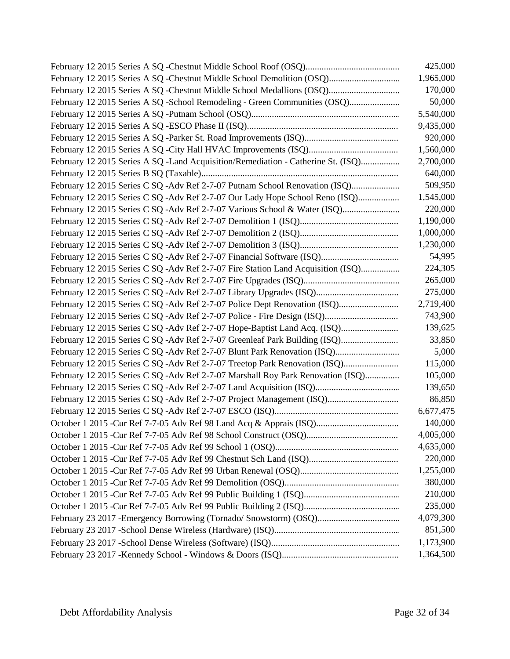|                                                                                  | 425,000   |
|----------------------------------------------------------------------------------|-----------|
| February 12 2015 Series A SQ -Chestnut Middle School Demolition (OSQ)            | 1,965,000 |
| February 12 2015 Series A SQ -Chestnut Middle School Medallions (OSQ)            | 170,000   |
| February 12 2015 Series A SQ -School Remodeling - Green Communities (OSQ)        | 50,000    |
|                                                                                  | 5,540,000 |
|                                                                                  | 9,435,000 |
|                                                                                  | 920,000   |
|                                                                                  | 1,560,000 |
| February 12 2015 Series A SQ -Land Acquisition/Remediation - Catherine St. (ISQ) | 2,700,000 |
|                                                                                  | 640,000   |
| February 12 2015 Series C SQ -Adv Ref 2-7-07 Putnam School Renovation (ISQ)      | 509,950   |
| February 12 2015 Series C SQ -Adv Ref 2-7-07 Our Lady Hope School Reno (ISQ)     | 1,545,000 |
| February 12 2015 Series C SQ -Adv Ref 2-7-07 Various School & Water (ISQ)        | 220,000   |
|                                                                                  | 1,190,000 |
|                                                                                  | 1,000,000 |
|                                                                                  | 1,230,000 |
|                                                                                  | 54,995    |
| February 12 2015 Series C SQ -Adv Ref 2-7-07 Fire Station Land Acquisition (ISQ) | 224,305   |
|                                                                                  | 265,000   |
| February 12 2015 Series C SQ -Adv Ref 2-7-07 Library Upgrades (ISQ)              | 275,000   |
| February 12 2015 Series C SQ -Adv Ref 2-7-07 Police Dept Renovation (ISQ)        | 2,719,400 |
|                                                                                  | 743,900   |
| February 12 2015 Series C SQ -Adv Ref 2-7-07 Hope-Baptist Land Acq. (ISQ)        | 139,625   |
| February 12 2015 Series C SQ - Adv Ref 2-7-07 Greenleaf Park Building (ISQ)      | 33,850    |
| February 12 2015 Series C SQ -Adv Ref 2-7-07 Blunt Park Renovation (ISQ)         | 5,000     |
| February 12 2015 Series C SQ - Adv Ref 2-7-07 Treetop Park Renovation (ISQ)      | 115,000   |
| February 12 2015 Series C SQ -Adv Ref 2-7-07 Marshall Roy Park Renovation (ISQ)  | 105,000   |
|                                                                                  | 139,650   |
| February 12 2015 Series C SQ -Adv Ref 2-7-07 Project Management (ISQ)            | 86,850    |
|                                                                                  | 6,677,475 |
|                                                                                  | 140,000   |
|                                                                                  | 4,005,000 |
|                                                                                  | 4,635,000 |
|                                                                                  | 220,000   |
|                                                                                  | 1,255,000 |
|                                                                                  | 380,000   |
|                                                                                  | 210,000   |
|                                                                                  | 235,000   |
| February 23 2017 - Emergency Borrowing (Tornado/ Snowstorm) (OSQ)                | 4,079,300 |
|                                                                                  | 851,500   |
|                                                                                  | 1,173,900 |
|                                                                                  | 1,364,500 |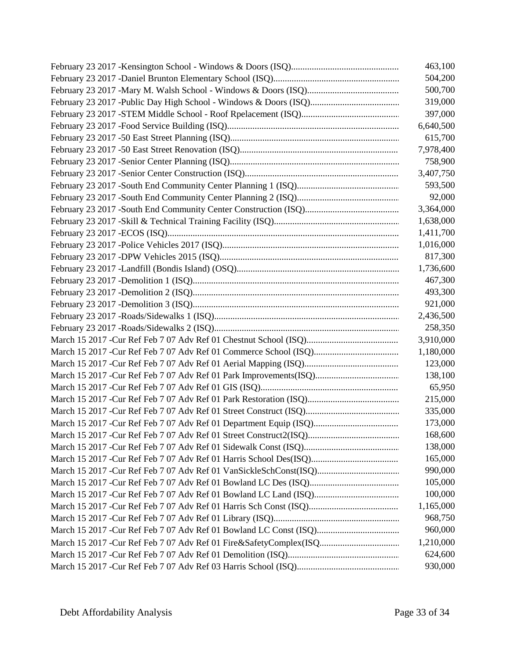| 463,100   |
|-----------|
| 504,200   |
| 500,700   |
| 319,000   |
| 397,000   |
| 6,640,500 |
| 615,700   |
| 7,978,400 |
| 758,900   |
| 3,407,750 |
| 593,500   |
| 92,000    |
| 3,364,000 |
| 1,638,000 |
| 1,411,700 |
| 1,016,000 |
| 817,300   |
| 1,736,600 |
| 467,300   |
| 493,300   |
| 921,000   |
| 2,436,500 |
| 258,350   |
| 3,910,000 |
| 1,180,000 |
| 123,000   |
| 138,100   |
| 65,950    |
| 215,000   |
| 335,000   |
| 173,000   |
| 168,600   |
| 138,000   |
| 165,000   |
| 990,000   |
| 105,000   |
| 100,000   |
| 1,165,000 |
| 968,750   |
| 960,000   |
| 1,210,000 |
| 624,600   |
| 930,000   |